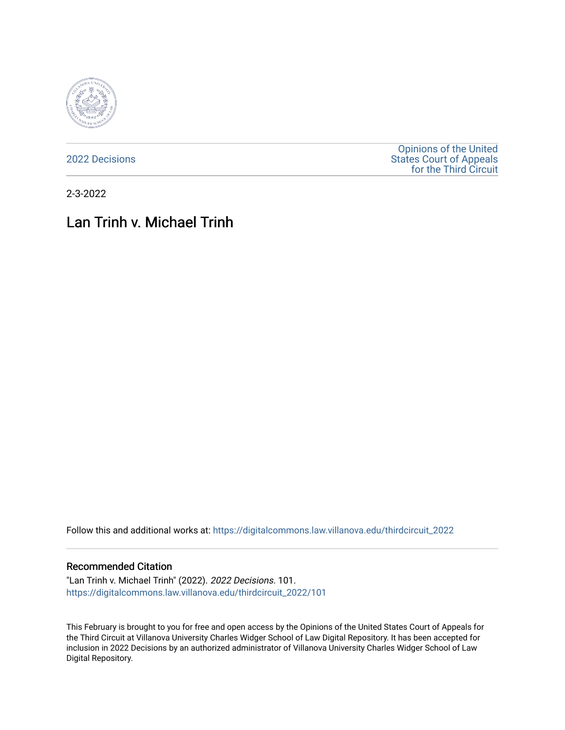

[2022 Decisions](https://digitalcommons.law.villanova.edu/thirdcircuit_2022)

[Opinions of the United](https://digitalcommons.law.villanova.edu/thirdcircuit)  [States Court of Appeals](https://digitalcommons.law.villanova.edu/thirdcircuit)  [for the Third Circuit](https://digitalcommons.law.villanova.edu/thirdcircuit) 

2-3-2022

# Lan Trinh v. Michael Trinh

Follow this and additional works at: [https://digitalcommons.law.villanova.edu/thirdcircuit\\_2022](https://digitalcommons.law.villanova.edu/thirdcircuit_2022?utm_source=digitalcommons.law.villanova.edu%2Fthirdcircuit_2022%2F101&utm_medium=PDF&utm_campaign=PDFCoverPages) 

#### Recommended Citation

"Lan Trinh v. Michael Trinh" (2022). 2022 Decisions. 101. [https://digitalcommons.law.villanova.edu/thirdcircuit\\_2022/101](https://digitalcommons.law.villanova.edu/thirdcircuit_2022/101?utm_source=digitalcommons.law.villanova.edu%2Fthirdcircuit_2022%2F101&utm_medium=PDF&utm_campaign=PDFCoverPages)

This February is brought to you for free and open access by the Opinions of the United States Court of Appeals for the Third Circuit at Villanova University Charles Widger School of Law Digital Repository. It has been accepted for inclusion in 2022 Decisions by an authorized administrator of Villanova University Charles Widger School of Law Digital Repository.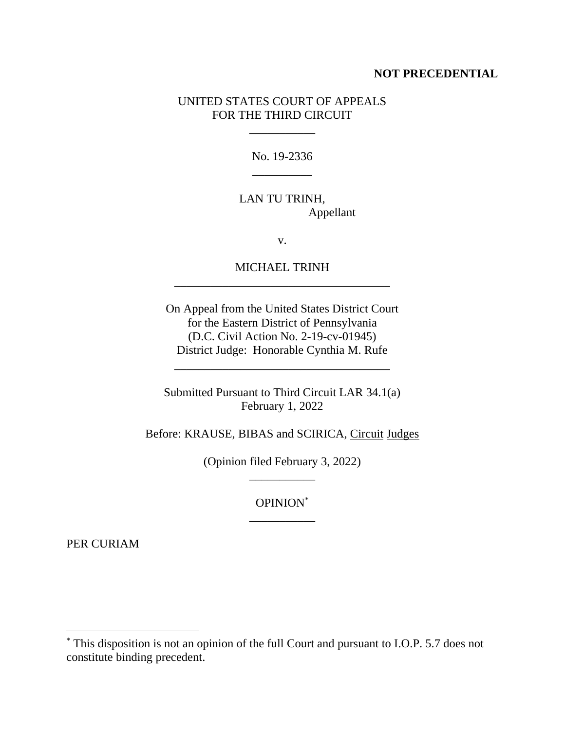#### **NOT PRECEDENTIAL**

### UNITED STATES COURT OF APPEALS FOR THE THIRD CIRCUIT

\_\_\_\_\_\_\_\_\_\_\_

No. 19-2336 \_\_\_\_\_\_\_\_\_\_

# LAN TU TRINH, Appellant

v.

## MICHAEL TRINH \_\_\_\_\_\_\_\_\_\_\_\_\_\_\_\_\_\_\_\_\_\_\_\_\_\_\_\_\_\_\_\_\_\_\_\_

On Appeal from the United States District Court for the Eastern District of Pennsylvania (D.C. Civil Action No. 2-19-cv-01945) District Judge: Honorable Cynthia M. Rufe

Submitted Pursuant to Third Circuit LAR 34.1(a) February 1, 2022

\_\_\_\_\_\_\_\_\_\_\_\_\_\_\_\_\_\_\_\_\_\_\_\_\_\_\_\_\_\_\_\_\_\_\_\_

Before: KRAUSE, BIBAS and SCIRICA, Circuit Judges

(Opinion filed February 3, 2022) \_\_\_\_\_\_\_\_\_\_\_

> OPINION\* \_\_\_\_\_\_\_\_\_\_\_

PER CURIAM

<sup>\*</sup> This disposition is not an opinion of the full Court and pursuant to I.O.P. 5.7 does not constitute binding precedent.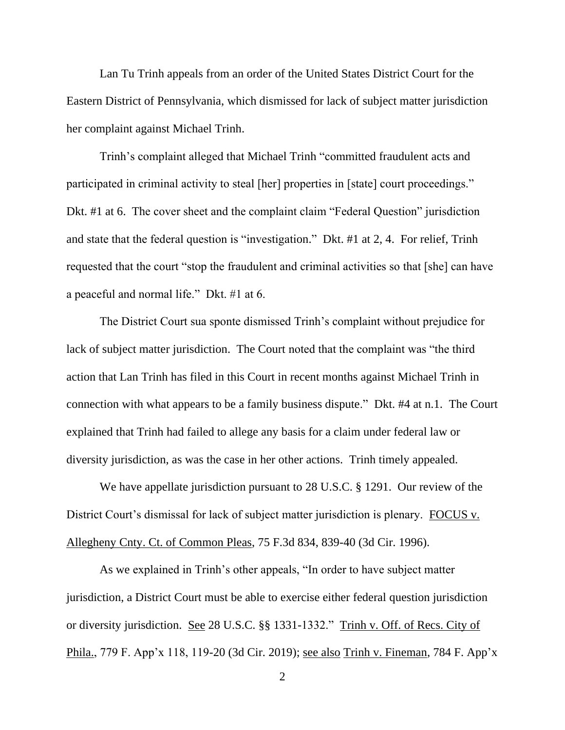Lan Tu Trinh appeals from an order of the United States District Court for the Eastern District of Pennsylvania, which dismissed for lack of subject matter jurisdiction her complaint against Michael Trinh.

Trinh's complaint alleged that Michael Trinh "committed fraudulent acts and participated in criminal activity to steal [her] properties in [state] court proceedings." Dkt. #1 at 6. The cover sheet and the complaint claim "Federal Question" jurisdiction and state that the federal question is "investigation." Dkt. #1 at 2, 4. For relief, Trinh requested that the court "stop the fraudulent and criminal activities so that [she] can have a peaceful and normal life." Dkt. #1 at 6.

The District Court sua sponte dismissed Trinh's complaint without prejudice for lack of subject matter jurisdiction. The Court noted that the complaint was "the third action that Lan Trinh has filed in this Court in recent months against Michael Trinh in connection with what appears to be a family business dispute." Dkt. #4 at n.1. The Court explained that Trinh had failed to allege any basis for a claim under federal law or diversity jurisdiction, as was the case in her other actions. Trinh timely appealed.

We have appellate jurisdiction pursuant to 28 U.S.C. § 1291. Our review of the District Court's dismissal for lack of subject matter jurisdiction is plenary. FOCUS v. Allegheny Cnty. Ct. of Common Pleas, 75 F.3d 834, 839-40 (3d Cir. 1996).

As we explained in Trinh's other appeals, "In order to have subject matter jurisdiction, a District Court must be able to exercise either federal question jurisdiction or diversity jurisdiction. See 28 U.S.C. §§ 1331-1332." Trinh v. Off. of Recs. City of Phila., 779 F. App'x 118, 119-20 (3d Cir. 2019); see also Trinh v. Fineman, 784 F. App'x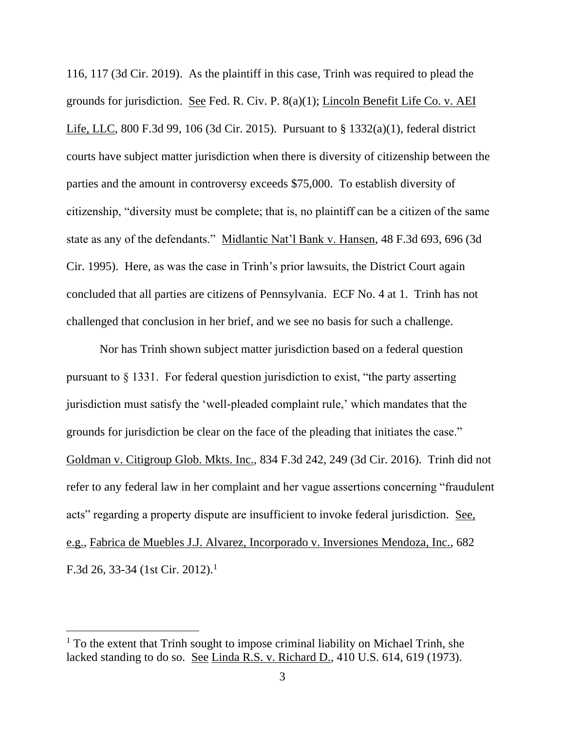116, 117 (3d Cir. 2019). As the plaintiff in this case, Trinh was required to plead the grounds for jurisdiction. See Fed. R. Civ. P. 8(a)(1); Lincoln Benefit Life Co. v. AEI Life, LLC, 800 F.3d 99, 106 (3d Cir. 2015). Pursuant to § 1332(a)(1), federal district courts have subject matter jurisdiction when there is diversity of citizenship between the parties and the amount in controversy exceeds \$75,000. To establish diversity of citizenship, "diversity must be complete; that is, no plaintiff can be a citizen of the same state as any of the defendants." Midlantic Nat'l Bank v. Hansen, 48 F.3d 693, 696 (3d Cir. 1995). Here, as was the case in Trinh's prior lawsuits, the District Court again concluded that all parties are citizens of Pennsylvania. ECF No. 4 at 1. Trinh has not challenged that conclusion in her brief, and we see no basis for such a challenge.

Nor has Trinh shown subject matter jurisdiction based on a federal question pursuant to § 1331. For federal question jurisdiction to exist, "the party asserting jurisdiction must satisfy the 'well-pleaded complaint rule,' which mandates that the grounds for jurisdiction be clear on the face of the pleading that initiates the case." Goldman v. Citigroup Glob. Mkts. Inc., 834 F.3d 242, 249 (3d Cir. 2016). Trinh did not refer to any federal law in her complaint and her vague assertions concerning "fraudulent acts" regarding a property dispute are insufficient to invoke federal jurisdiction. See, e.g., Fabrica de Muebles J.J. Alvarez, Incorporado v. Inversiones Mendoza, Inc., 682 F.3d 26, 33-34 (1st Cir. 2012).<sup>1</sup>

<sup>&</sup>lt;sup>1</sup> To the extent that Trinh sought to impose criminal liability on Michael Trinh, she lacked standing to do so. See Linda R.S. v. Richard D., 410 U.S. 614, 619 (1973).